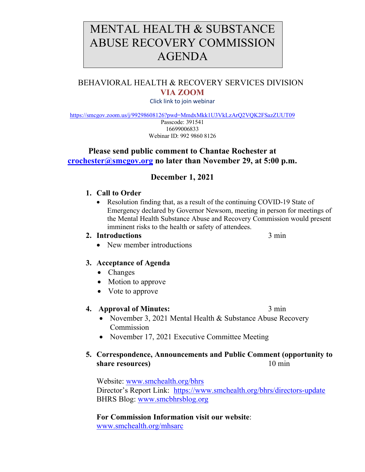# MENTAL HEALTH & SUBSTANCE ABUSE RECOVERY COMMISSION AGENDA

# BEHAVIORAL HEALTH & RECOVERY SERVICES DIVISION **VIA ZOOM**

Click link to join webinar

<https://smcgov.zoom.us/j/99298608126?pwd=MmdxMkk1U3VkLzArQ2VQK2FSazZUUT09>

Passcode: 391541 16699006833 Webinar ID: 992 9860 8126

## **Please send public comment to Chantae Rochester at [crochester@smcgov.org](mailto:crochester@smcgov.org) no later than November 29, at 5:00 p.m.**

# **December 1, 2021**

#### **1. Call to Order**

• Resolution finding that, as a result of the continuing COVID-19 State of Emergency declared by Governor Newsom, meeting in person for meetings of the Mental Health Substance Abuse and Recovery Commission would present imminent risks to the health or safety of attendees.

#### **2. Introductions** 3 min

• New member introductions

## **3. Acceptance of Agenda**

- Changes
- Motion to approve
- Vote to approve

#### **4. Approval of Minutes:** 3 min

- November 3, 2021 Mental Health & Substance Abuse Recovery **Commission**
- November 17, 2021 Executive Committee Meeting

## **5. Correspondence, Announcements and Public Comment (opportunity to share resources**) 10 min

Website: [www.smchealth.org/bhrs](http://www.smchealth.org/bhrs) Director's Report Link: <https://www.smchealth.org/bhrs/directors-update> BHRS Blog: [www.smcbhrsblog.org](http://www.smcbhrsblog.org/)

**For Commission Information visit our website**: [www.smchealth.org/mhsarc](http://www.smchealth.org/mhsarc)